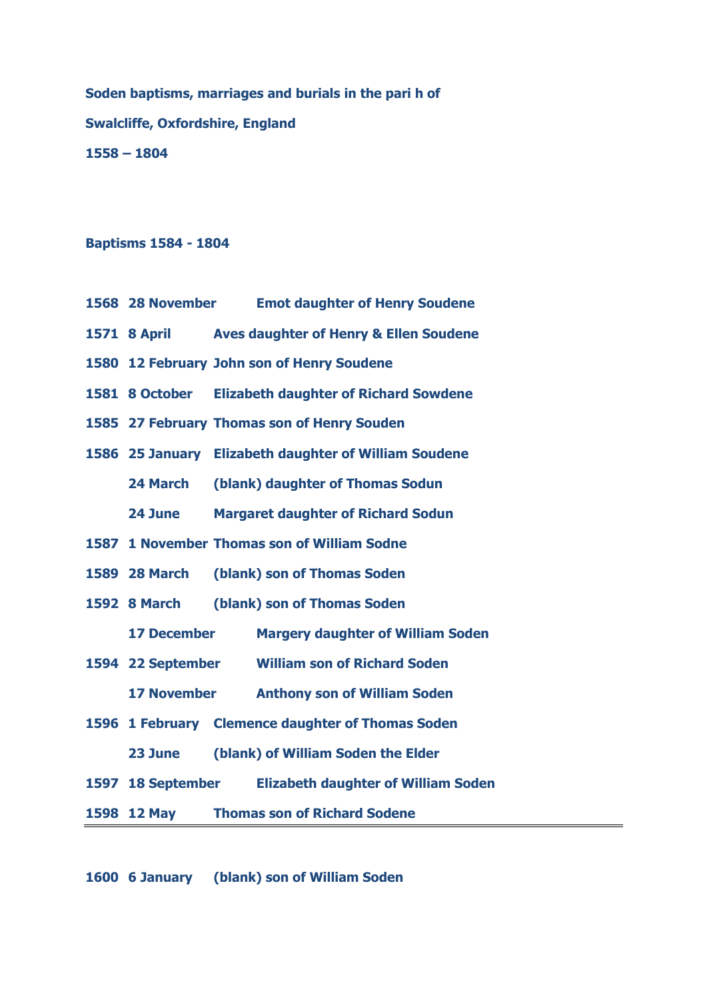**Soden baptisms, marriages and burials in the pari h of Swalcliffe, Oxfordshire, England – 1804**

## **Baptisms 1584 - 1804**

- **28 November Emot daughter of Henry Soudene**
- **8 April Aves daughter of Henry & Ellen Soudene**
- **12 February John son of Henry Soudene**
- **8 October Elizabeth daughter of Richard Sowdene**
- **27 February Thomas son of Henry Souden**
- **25 January Elizabeth daughter of William Soudene**

**24 March (blank) daughter of Thomas Sodun**

**24 June Margaret daughter of Richard Sodun**

**1 November Thomas son of William Sodne**

**28 March (blank) son of Thomas Soden**

**8 March (blank) son of Thomas Soden**

**17 December Margery daughter of William Soden** 

- **22 September William son of Richard Soden** 
	- **17 November Anthony son of William Soden**
- **1 February Clemence daughter of Thomas Soden**

**23 June (blank) of William Soden the Elder**

**18 September Elizabeth daughter of William Soden** 

**12 May Thomas son of Richard Sodene**

**6 January (blank) son of William Soden**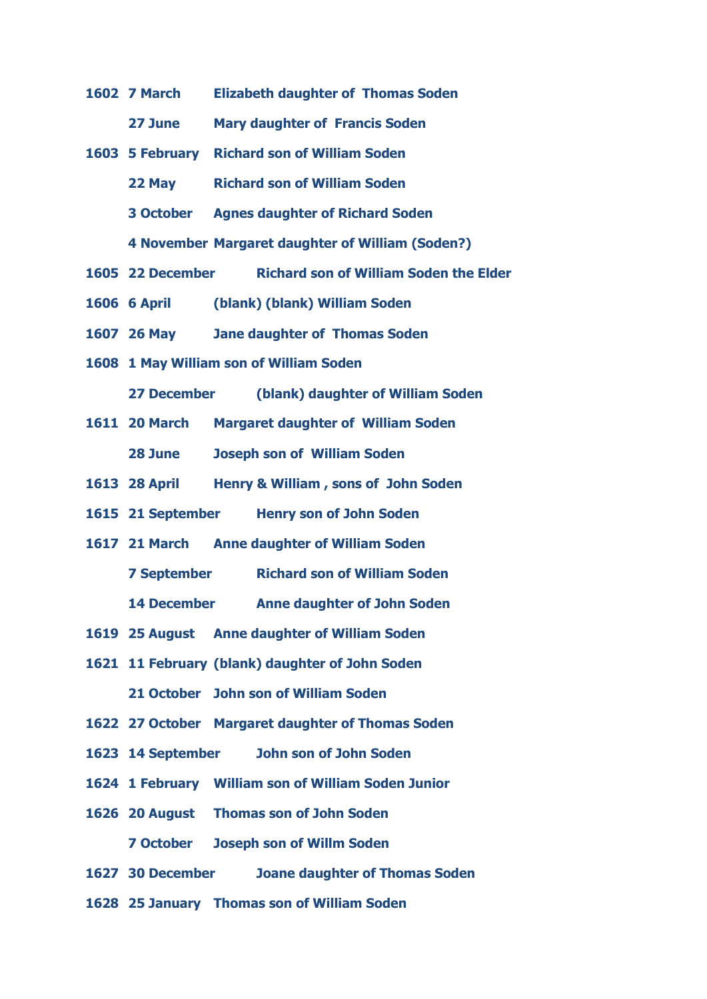**7 March Elizabeth daughter of Thomas Soden** 

**27 June Mary daughter of Francis Soden**

**5 February Richard son of William Soden** 

**22 May Richard son of William Soden** 

**3 October Agnes daughter of Richard Soden**

**4 November Margaret daughter of William (Soden?)**

- **22 December Richard son of William Soden the Elder**
- **6 April (blank) (blank) William Soden**
- **26 May Jane daughter of Thomas Soden**
- **1 May William son of William Soden**

**27 December (blank) daughter of William Soden**

- **20 March Margaret daughter of William Soden 28 June Joseph son of William Soden**
- **28 April Henry & William , sons of John Soden**
- **21 September Henry son of John Soden**
- **21 March Anne daughter of William Soden**

**7 September Richard son of William Soden** 

**14 December Anne daughter of John Soden** 

- **25 August Anne daughter of William Soden**
- **11 February (blank) daughter of John Soden 21 October John son of William Soden**
- **27 October Margaret daughter of Thomas Soden**
- **14 September John son of John Soden**
- **1 February William son of William Soden Junior**
- **20 August Thomas son of John Soden 7 October Joseph son of Willm Soden**
- **30 December Joane daughter of Thomas Soden**
- **25 January Thomas son of William Soden**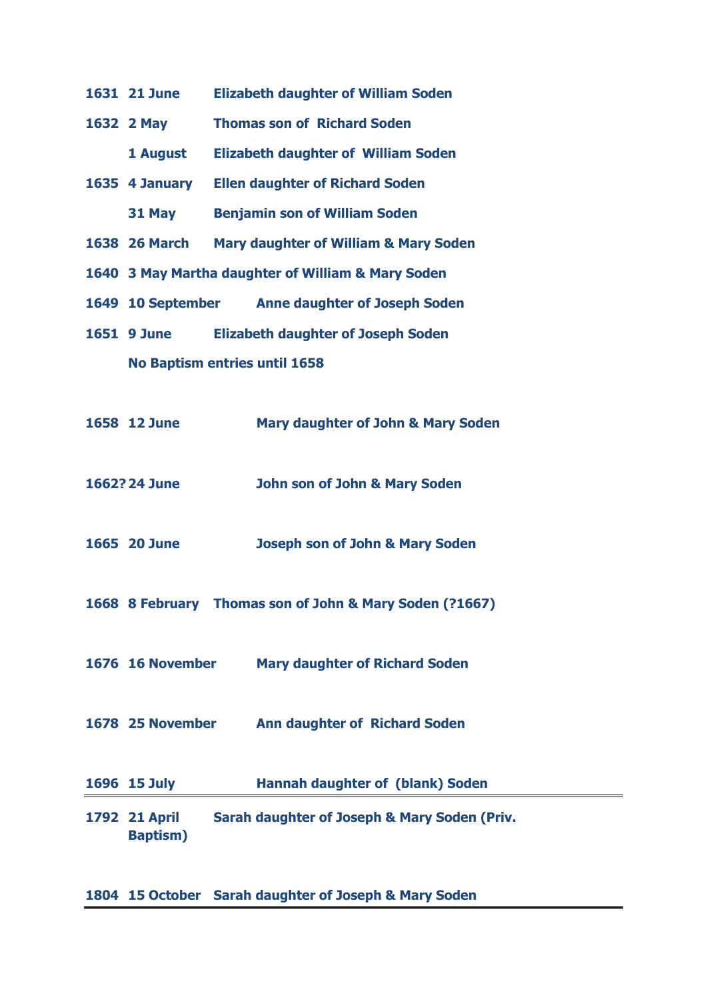| <b>1631 21 June</b>                                |                                           | <b>Elizabeth daughter of William Soden</b>              |  |  |  |
|----------------------------------------------------|-------------------------------------------|---------------------------------------------------------|--|--|--|
| 1632 2 May                                         |                                           | <b>Thomas son of Richard Soden</b>                      |  |  |  |
| 1 August                                           |                                           | <b>Elizabeth daughter of William Soden</b>              |  |  |  |
| 1635 4 January                                     |                                           | <b>Ellen daughter of Richard Soden</b>                  |  |  |  |
| 31 May                                             |                                           | <b>Benjamin son of William Soden</b>                    |  |  |  |
| <b>1638 26 March</b>                               |                                           | <b>Mary daughter of William &amp; Mary Soden</b>        |  |  |  |
| 1640 3 May Martha daughter of William & Mary Soden |                                           |                                                         |  |  |  |
|                                                    |                                           | 1649 10 September Anne daughter of Joseph Soden         |  |  |  |
| <b>1651 9 June</b>                                 | <b>Elizabeth daughter of Joseph Soden</b> |                                                         |  |  |  |
| No Baptism entries until 1658                      |                                           |                                                         |  |  |  |
|                                                    |                                           |                                                         |  |  |  |
| 1658 12 June                                       |                                           | Mary daughter of John & Mary Soden                      |  |  |  |
|                                                    |                                           |                                                         |  |  |  |
| 1662? 24 June                                      |                                           | <b>John son of John &amp; Mary Soden</b>                |  |  |  |
|                                                    |                                           |                                                         |  |  |  |
| 1665 20 June                                       |                                           | <b>Joseph son of John &amp; Mary Soden</b>              |  |  |  |
|                                                    |                                           |                                                         |  |  |  |
|                                                    |                                           | 1668 8 February Thomas son of John & Mary Soden (?1667) |  |  |  |
|                                                    |                                           |                                                         |  |  |  |
| 1676 16 November                                   |                                           | <b>Mary daughter of Richard Soden</b>                   |  |  |  |
|                                                    |                                           |                                                         |  |  |  |
| 1678 25 November                                   |                                           | <b>Ann daughter of Richard Soden</b>                    |  |  |  |
|                                                    |                                           |                                                         |  |  |  |
| 1696 15 July                                       |                                           | <b>Hannah daughter of (blank) Soden</b>                 |  |  |  |
| 1792 21 April                                      |                                           | Sarah daughter of Joseph & Mary Soden (Priv.            |  |  |  |

**Baptism)**

**15 October Sarah daughter of Joseph & Mary Soden**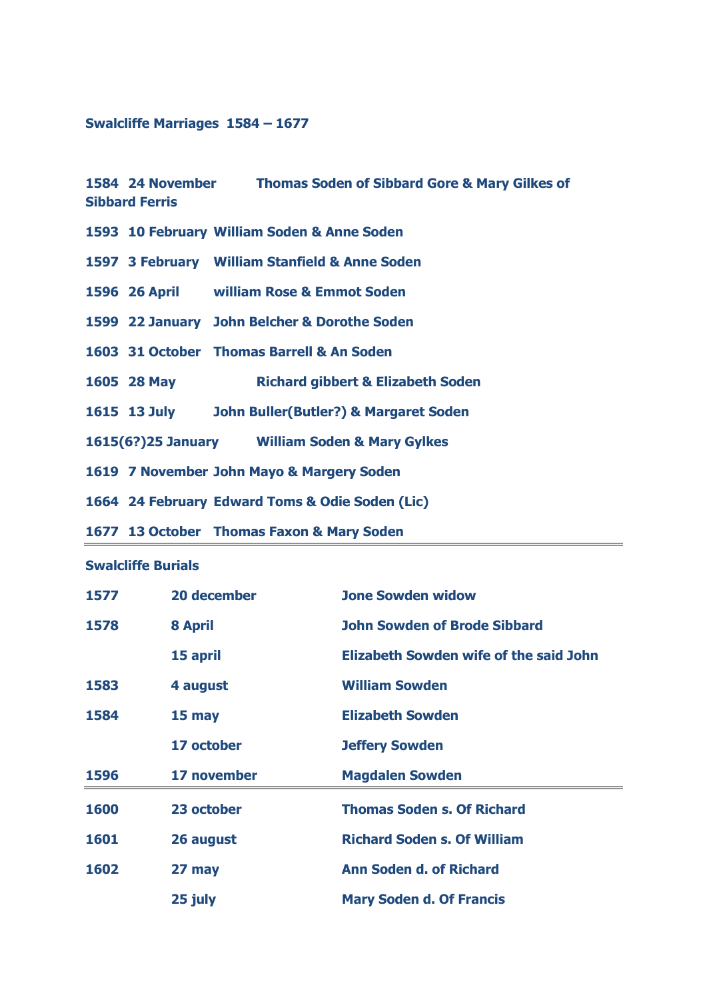## **Swalcliffe Marriages 1584 – 1677**

## **24 November Thomas Soden of Sibbard Gore & Mary Gilkes of Sibbard Ferris**

- **10 February William Soden & Anne Soden**
- **3 February William Stanfield & Anne Soden**
- **26 April william Rose & Emmot Soden**
- **22 January John Belcher & Dorothe Soden**
- **31 October Thomas Barrell & An Soden**
- **28 May Richard gibbert & Elizabeth Soden**
- **13 July John Buller(Butler?) & Margaret Soden**
- **1615(6?)25 January William Soden & Mary Gylkes**
- **7 November John Mayo & Margery Soden**
- **24 February Edward Toms & Odie Soden (Lic)**
- **13 October Thomas Faxon & Mary Soden**

## **Swalcliffe Burials**

| 1577 | 20 december    | <b>Jone Sowden widow</b>                      |
|------|----------------|-----------------------------------------------|
| 1578 | <b>8 April</b> | <b>John Sowden of Brode Sibbard</b>           |
|      | 15 april       | <b>Elizabeth Sowden wife of the said John</b> |
| 1583 | 4 august       | <b>William Sowden</b>                         |
| 1584 | $15$ may       | <b>Elizabeth Sowden</b>                       |
|      | 17 october     | <b>Jeffery Sowden</b>                         |
| 1596 | 17 november    | <b>Magdalen Sowden</b>                        |
| 1600 | 23 october     | <b>Thomas Soden s. Of Richard</b>             |
| 1601 | 26 august      | <b>Richard Soden s. Of William</b>            |
| 1602 | 27 may         | <b>Ann Soden d. of Richard</b>                |
|      | 25 july        | <b>Mary Soden d. Of Francis</b>               |